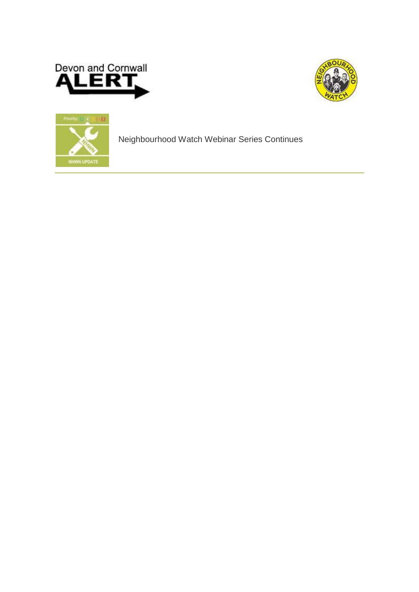





Neighbourhood Watch Webinar Series Continues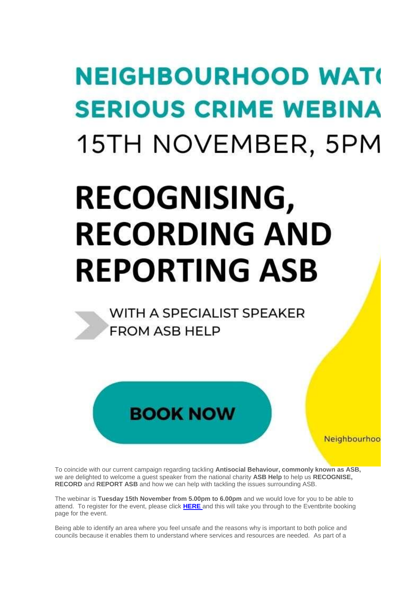## **NEIGHBOURHOOD WATG SERIOUS CRIME WEBINA** 15TH NOVEMBER, 5PM

## **RECOGNISING, RECORDING AND REPORTING ASB**

WITH A SPECIALIST SPEAKER **FROM ASB HELP** 

Neighbourhoo

To coincide with our current campaign regarding tackling **Antisocial Behaviour, commonly known as ASB,**  we are delighted to welcome a guest speaker from the national charity **ASB Help** to help us **RECOGNISE, RECORD** and **REPORT ASB** and how we can help with tackling the issues surrounding ASB.

**BOOK NOW** 

The webinar is **Tuesday 15th November from 5.00pm to 6.00pm** and we would love for you to be able to attend. To register for the event, please click **[HERE](https://www.eventbrite.co.uk/e/recognising-recording-and-reporting-asb-tickets-195003409447)** and this will take you through to the Eventbrite booking page for the event.

Being able to identify an area where you feel unsafe and the reasons why is important to both police and councils because it enables them to understand where services and resources are needed. As part of a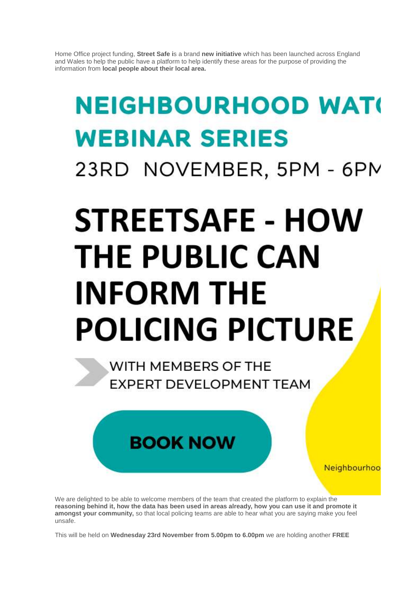Home Office project funding, **Street Safe i**s a brand **new initiative** which has been launched across England and Wales to help the public have a platform to help identify these areas for the purpose of providing the information from **local people about their local area.** 

## **NEIGHBOURHOOD WATG WEBINAR SERIES** 23RD NOVEMBER, 5PM - 6PM

# **STREETSAFE - HOW THE PUBLIC CAN INFORM THE POLICING PICTURE**

WITH MEMBERS OF THE **EXPERT DEVELOPMENT TEAM** 

Neighbourhoo

We are delighted to be able to welcome members of the team that created the platform to explain the **reasoning behind it, how the data has been used in areas already, how you can use it and promote it amongst your community,** so that local policing teams are able to hear what you are saying make you feel unsafe.

**BOOK NOW** 

This will be held on **Wednesday 23rd November from 5.00pm to 6.00pm** we are holding another **FREE**